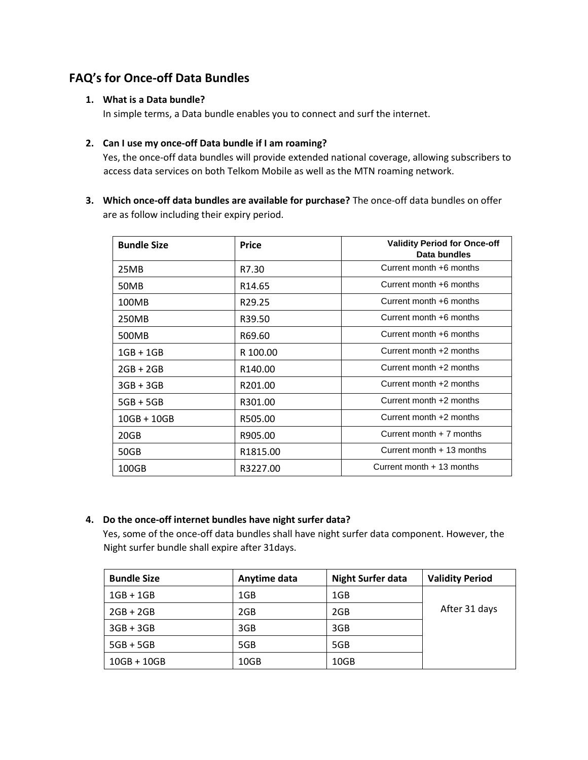# **FAQ's for Once-off Data Bundles**

## **1. What is a Data bundle?**

In simple terms, a Data bundle enables you to connect and surf the internet.

## **2. Can I use my once-off Data bundle if I am roaming?**

Yes, the once-off data bundles will provide extended national coverage, allowing subscribers to access data services on both Telkom Mobile as well as the MTN roaming network.

**3. Which once-off data bundles are available for purchase?** The once-off data bundles on offer are as follow including their expiry period.

| <b>Bundle Size</b> | <b>Price</b>        | <b>Validity Period for Once-off</b><br>Data bundles |  |
|--------------------|---------------------|-----------------------------------------------------|--|
| 25MB               | R7.30               | Current month +6 months                             |  |
| 50MB               | R <sub>14.65</sub>  | Current month +6 months                             |  |
| 100MB              | R <sub>29.25</sub>  | Current month +6 months                             |  |
| 250MB              | R39.50              | Current month +6 months                             |  |
| 500MB              | R69.60              | Current month +6 months                             |  |
| $1GB + 1GB$        | R 100.00            | Current month +2 months                             |  |
| $2GB + 2GB$        | R <sub>140.00</sub> | Current month +2 months                             |  |
| $3GB + 3GB$        | R201.00             | Current month +2 months                             |  |
| $5GB + 5GB$        | R301.00             | Current month +2 months                             |  |
| $10GB + 10GB$      | R505.00             | Current month +2 months                             |  |
| 20GB               | R905.00             | Current month $+7$ months                           |  |
| 50GB               | R1815.00            | Current month $+13$ months                          |  |
| 100GB              | R3227.00            | Current month + 13 months                           |  |

# **4. Do the once-off internet bundles have night surfer data?**

Yes, some of the once-off data bundles shall have night surfer data component. However, the Night surfer bundle shall expire after 31days.

| <b>Bundle Size</b> | Anytime data | <b>Night Surfer data</b> | <b>Validity Period</b> |
|--------------------|--------------|--------------------------|------------------------|
| $1GB + 1GB$        | 1GB          | 1GB                      |                        |
| $2GB + 2GB$        | 2GB          | 2GB                      | After 31 days          |
| $3GB + 3GB$        | 3GB          | 3GB                      |                        |
| $5GB + 5GB$        | 5GB          | 5GB                      |                        |
| $10GB + 10GB$      | 10GB         | 10 <sub>GB</sub>         |                        |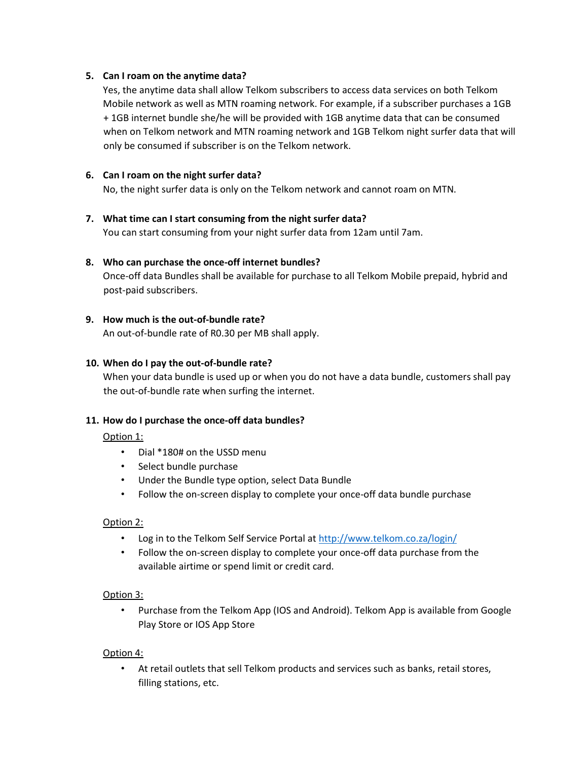#### **5. Can I roam on the anytime data?**

Yes, the anytime data shall allow Telkom subscribers to access data services on both Telkom Mobile network as well as MTN roaming network. For example, if a subscriber purchases a 1GB + 1GB internet bundle she/he will be provided with 1GB anytime data that can be consumed when on Telkom network and MTN roaming network and 1GB Telkom night surfer data that will only be consumed if subscriber is on the Telkom network.

## **6. Can I roam on the night surfer data?**

No, the night surfer data is only on the Telkom network and cannot roam on MTN.

## **7. What time can I start consuming from the night surfer data?**

You can start consuming from your night surfer data from 12am until 7am.

## **8. Who can purchase the once-off internet bundles?**

Once-off data Bundles shall be available for purchase to all Telkom Mobile prepaid, hybrid and post-paid subscribers.

## **9. How much is the out-of-bundle rate?**

An out-of-bundle rate of R0.30 per MB shall apply.

## **10. When do I pay the out-of-bundle rate?**

When your data bundle is used up or when you do not have a data bundle, customers shall pay the out-of-bundle rate when surfing the internet.

#### **11. How do I purchase the once-off data bundles?**

#### Option 1:

- Dial \*180# on the USSD menu
- Select bundle purchase
- Under the Bundle type option, select Data Bundle
- Follow the on-screen display to complete your once-off data bundle purchase

#### Option 2:

- Log in to the Telkom Self Service Portal at [http://www.telkom.co.za/login/](http://www.telkom.co.za/login)
- Follow the on-screen display to complete your once-off data purchase from the available airtime or spend limit or credit card.

#### Option 3:

• Purchase from the Telkom App (IOS and Android). Telkom App is available from Google Play Store or IOS App Store

#### Option 4:

• At retail outlets that sell Telkom products and services such as banks, retail stores, filling stations, etc.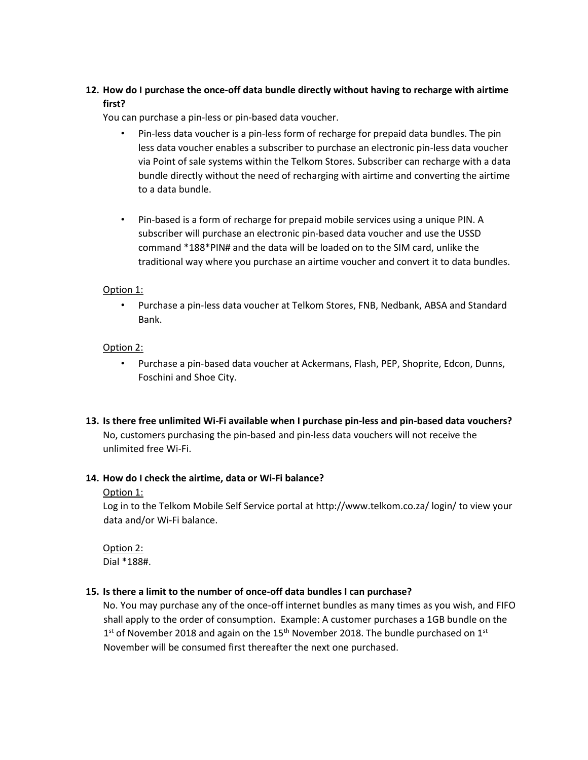# **12. How do I purchase the once-off data bundle directly without having to recharge with airtime first?**

You can purchase a pin-less or pin-based data voucher.

- Pin-less data voucher is a pin-less form of recharge for prepaid data bundles. The pin less data voucher enables a subscriber to purchase an electronic pin-less data voucher via Point of sale systems within the Telkom Stores. Subscriber can recharge with a data bundle directly without the need of recharging with airtime and converting the airtime to a data bundle.
- Pin-based is a form of recharge for prepaid mobile services using a unique PIN. A subscriber will purchase an electronic pin-based data voucher and use the USSD command \*188\*PIN# and the data will be loaded on to the SIM card, unlike the traditional way where you purchase an airtime voucher and convert it to data bundles.

## Option 1:

• Purchase a pin-less data voucher at Telkom Stores, FNB, Nedbank, ABSA and Standard Bank.

# Option 2:

- Purchase a pin-based data voucher at Ackermans, Flash, PEP, Shoprite, Edcon, Dunns, Foschini and Shoe City.
- **13. Is there free unlimited Wi-Fi available when I purchase pin-less and pin-based data vouchers?**  No, customers purchasing the pin-based and pin-less data vouchers will not receive the unlimited free Wi-Fi.

#### **14. How do I check the airtime, data or Wi-Fi balance?**

#### Option 1:

Log in to the Telkom Mobile Self Service portal at http://www.telkom.co.za/ login/ to view your data and/or Wi-Fi balance.

Option 2: Dial \*188#.

#### **15. Is there a limit to the number of once-off data bundles I can purchase?**

No. You may purchase any of the once-off internet bundles as many times as you wish, and FIFO shall apply to the order of consumption. Example: A customer purchases a 1GB bundle on the  $1<sup>st</sup>$  of November 2018 and again on the 15<sup>th</sup> November 2018. The bundle purchased on 1<sup>st</sup> November will be consumed first thereafter the next one purchased.